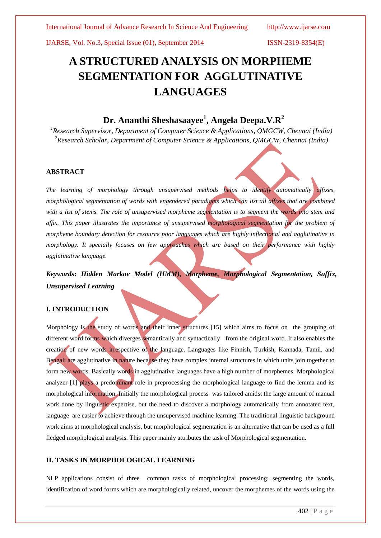IJARSE, Vol. No.3, Special Issue (01), September 2014 ISSN-2319-8354(E)

# **A STRUCTURED ANALYSIS ON MORPHEME SEGMENTATION FOR AGGLUTINATIVE LANGUAGES**

## **Dr. Ananthi Sheshasaayee<sup>1</sup> , Angela Deepa.V.R<sup>2</sup>**

*<sup>1</sup>Research Supervisor, Department of Computer Science & Applications, QMGCW, Chennai (India) <sup>2</sup>Research Scholar, Department of Computer Science & Applications, QMGCW, Chennai (India)*

### **ABSTRACT**

*The learning of morphology through unsupervised methods helps to identify automatically affixes, morphological segmentation of words with engendered paradigms which can list all affixes that are combined*  with a list of stems. The role of unsupervised morpheme segmentation is to segment the words into stem and *affix. This paper illustrates the importance of unsupervised morphological segmentation for the problem of morpheme boundary detection for resource poor languages which are highly inflectional and agglutinative in morphology. It specially focuses on few approaches which are based on their performance with highly agglutinative language.*

## *Keywords***:** *Hidden Markov Model (HMM), Morpheme, Morphological Segmentation, Suffix, Unsupervised Learning*

### **I. INTRODUCTION**

Morphology is the study of words and their inner structures [15] which aims to focus on the grouping of different word forms which diverges semantically and syntactically from the original word. It also enables the creation of new words irrespective of the language. Languages like Finnish, Turkish, Kannada, Tamil, and Bengali are agglutinative in nature because they have complex internal structures in which units join together to form new words. Basically words in agglutinative languages have a high number of morphemes. Morphological analyzer [1] plays a predominant role in preprocessing the morphological language to find the lemma and its morphological information. Initially the morphological process was tailored amidst the large amount of manual work done by linguistic expertise, but the need to discover a morphology automatically from annotated text, language are easier to achieve through the unsupervised machine learning. The traditional linguistic background work aims at morphological analysis, but morphological segmentation is an alternative that can be used as a full fledged morphological analysis. This paper mainly attributes the task of Morphological segmentation.

#### **II. TASKS IN MORPHOLOGICAL LEARNING**

NLP applications consist of three common tasks of morphological processing: segmenting the words, identification of word forms which are morphologically related, uncover the morphemes of the words using the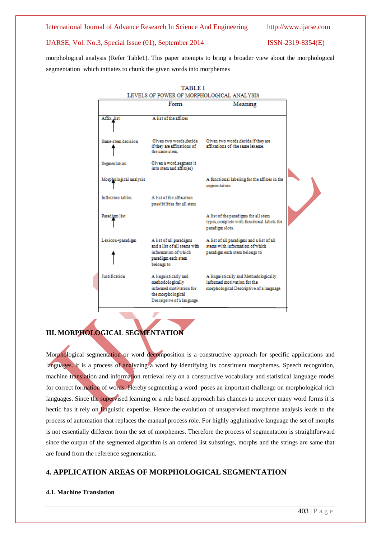International Journal of Advance Research In Science And Engineering http://www.ijarse.com

#### IJARSE, Vol. No.3, Special Issue (01), September 2014 ISSN-2319-8354(E)

morphological analysis (Refer Table1). This paper attempts to bring a broader view about the morphological segmentation which initiates to chunk the given words into morphemes



## **III. MORPHOLOGICAL SEGMENTATION**

Morphological segmentation or word decomposition is a constructive approach for specific applications and languages. It is a process of analyzing a word by identifying its constituent morphemes. Speech recognition, machine translation and information retrieval rely on a constructive vocabulary and statistical language model for correct formation of words. Hereby segmenting a word poses an important challenge on morphological rich languages. Since the supervised learning or a rule based approach has chances to uncover many word forms it is hectic has it rely on linguistic expertise. Hence the evolution of unsupervised morpheme analysis leads to the process of automation that replaces the manual process role. For highly agglutinative language the set of morphs is not essentially different from the set of morphemes. Therefore the process of segmentation is straightforward since the output of the segmented algorithm is an ordered list substrings, morphs and the strings are same that are found from the reference segmentation.

## **4. APPLICATION AREAS OF MORPHOLOGICAL SEGMENTATION**

### **4.1. Machine Translation**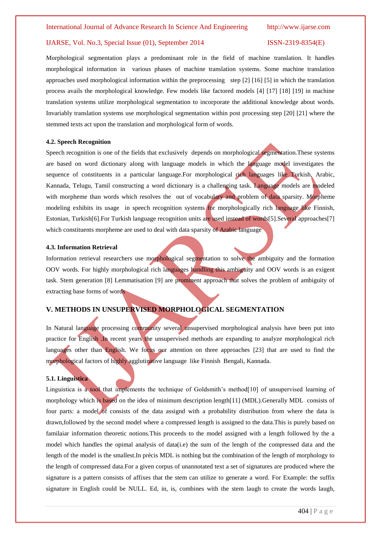#### IJARSE, Vol. No.3, Special Issue (01), September 2014 ISSN-2319-8354(E)

Morphological segmentation plays a predominant role in the field of machine translation. It handles morphological information in various phases of machine translation systems. Some machine translation approaches used morphological information within the preprocessing step [2] [16] [5] in which the translation process avails the morphological knowledge. Few models like factored models [4] [17] [18] [19] in machine translation systems utilize morphological segmentation to incorporate the additional knowledge about words. Invariably translation systems use morphological segmentation within post processing step [20] [21] where the stemmed texts act upon the translation and morphological form of words.

#### **4.2. Speech Recognition**

Speech recognition is one of the fields that exclusively depends on morphological segmentation.These systems are based on word dictionary along with language models in which the language model investigates the sequence of constituents in a particular language. For morphological rich languages like Turkish, Arabic, Kannada, Telugu, Tamil constructing a word dictionary is a challenging task. Language models are modeled with morpheme than words which resolves the out of vocabulary and problem of data sparsity. Morpheme modeling exhibits its usage in speech recognition systems for morphologically rich language like Finnish, Estonian, Turkish[6].For Turkish language recognition units are used instead of words[5].Several approaches[7] which constituents morpheme are used to deal with data sparsity of Arabic language

#### **4.3. Information Retrieval**

Information retrieval researchers use morphological segmentation to solve the ambiguity and the formation OOV words. For highly morphological rich languages handling this ambiguity and OOV words is an exigent task. Stem generation [8] Lemmatisation [9] are prominent approach that solves the problem of ambiguity of extracting base forms of words

### **V. METHODS IN UNSUPERVISED MORPHOLOGICAL SEGMENTATION**

In Natural language processing community several unsupervised morphological analysis have been put into practice for English .In recent years the unsupervised methods are expanding to analyze morphological rich languages other than English. We focus our attention on three approaches [23] that are used to find the morphological factors of highly agglutinative language like Finnish Bengali, Kannada.

#### **5.1. Linguistica**

Linguistica is a tool that implements the technique of Goldsmith's method [10] of unsupervised learning of morphology which is based on the idea of minimum description length[11] (MDL).Generally MDL consists of four parts: a model of consists of the data assignd with a probability distribution from where the data is drawn,followed by the second model where a compressed length is assigned to the data.This is purely based on familaiar information theoretic notions.This proceeds to the model assigned with a length followed by the a model which handles the opimal analysis of data(i.e) the sum of the length of the compressed data and the length of the model is the smallest.In précis MDL is nothing but the combination of the length of morphology to the length of compressed data.For a given corpus of unannotated text a set of signatures are produced where the signature is a pattern consists of affixes that the stem can utilize to generate a word. For Example: the suffix signature in English could be NULL. Ed, in, is, combines with the stem laugh to create the words laugh,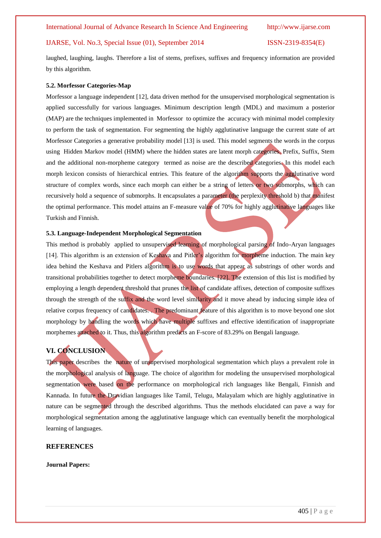#### IJARSE, Vol. No.3, Special Issue (01), September 2014 ISSN-2319-8354(E)

laughed, laughing, laughs. Therefore a list of stems, prefixes, suffixes and frequency information are provided by this algorithm.

#### **5.2. Morfessor Categories-Map**

Morfessor a language independent [12], data driven method for the unsupervised morphological segmentation is applied successfully for various languages. Minimum description length (MDL) and maximum a posterior (MAP) are the techniques implemented in Morfessor to optimize the accuracy with minimal model complexity to perform the task of segmentation. For segmenting the highly agglutinative language the current state of art Morfessor Categories a generative probability model [13] is used. This model segments the words in the corpus using Hidden Markov model (HMM) where the hidden states are latent morph categories. Prefix, Suffix, Stem and the additional non-morpheme category termed as noise are the described categories. In this model each morph lexicon consists of hierarchical entries. This feature of the algorithm supports the agglutinative word structure of complex words, since each morph can either be a string of letters or two submorphs, which can recursively hold a sequence of submorphs. It encapsulates a parameter (the perplexity threshold b) that manifest the optimal performance. This model attains an F-measure value of 70% for highly agglutinative languages like Turkish and Finnish.

#### **5.3. Language-Independent Morphological Segmentation**

This method is probably applied to unsupervised learning of morphological parsing of Indo-Aryan languages [14]. This algorithm is an extension of Keshava and Pitler's algorithm for morpheme induction. The main key idea behind the Keshava and Pitlers algorithm is to use words that appear as substrings of other words and transitional probabilities together to detect morpheme boundaries. [22]. The extension of this list is modified by employing a length dependent threshold that prunes the list of candidate affixes, detection of composite suffixes through the strength of the suffix and the word level similarity and it move ahead by inducing simple idea of relative corpus frequency of candidates. . The predominant feature of this algorithm is to move beyond one slot morphology by handling the words which have multiple suffixes and effective identification of inappropriate morphemes attached to it. Thus, this algorithm predicts an F-score of 83.29% on Bengali language.

### **VI. CONCLUSION**

This paper describes the nature of unsupervised morphological segmentation which plays a prevalent role in the morphological analysis of language. The choice of algorithm for modeling the unsupervised morphological segmentation were based on the performance on morphological rich languages like Bengali, Finnish and Kannada. In future the Dravidian languages like Tamil, Telugu, Malayalam which are highly agglutinative in nature can be segmented through the described algorithms. Thus the methods elucidated can pave a way for morphological segmentation among the agglutinative language which can eventually benefit the morphological learning of languages.

#### **REFERENCES**

**Journal Papers:**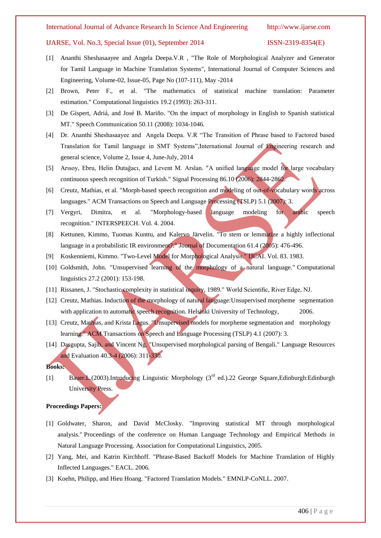#### International Journal of Advance Research In Science And Engineering http://www.ijarse.com

#### IJARSE, Vol. No.3, Special Issue (01), September 2014 ISSN-2319-8354(E)

- [1] Ananthi Sheshasaayee and Angela Deepa.V.R , "The Role of Morphological Analyzer and Generator for Tamil Language in Machine Translation Systems", International Journal of Computer Sciences and Engineering, Volume-02, Issue-05, Page No (107-111), May -2014
- [2] Brown, Peter F., et al. "The mathematics of statistical machine translation: Parameter estimation." Computational linguistics 19.2 (1993): 263-311.
- [3] De Gispert, Adriá, and José B. Mariño. "On the impact of morphology in English to Spanish statistical MT." Speech Communication 50.11 (2008): 1034-1046.
- [4] Dr. Ananthi Sheshasaayee and Angela Deepa. V.R "The Transition of Phrase based to Factored based Translation for Tamil language in SMT Systems",International Journal of Engineering research and general science, Volume 2, Issue 4, June-July, 2014
- [5] Arısoy, Ebru, Helin Dutağacı, and Levent M. Arslan. "A unified language model for large vocabulary continuous speech recognition of Turkish." Signal Processing 86.10 (2006): 2844-2862.
- [6] Creutz, Mathias, et al. "Morph-based speech recognition and modeling of out-of-vocabulary words across languages." ACM Transactions on Speech and Language Processing (TSLP) 5.1 (2007): 3.
- [7] Vergyri, Dimitra, et al. "Morphology-based language modeling for arabic speech recognition." INTERSPEECH. Vol. 4. 2004.
- [8] Kettunen, Kimmo, Tuomas Kunttu, and Kalervo Järvelin. "To stem or lemmatize a highly inflectional language in a probabilistic IR environment?." Journal of Documentation 61.4 (2005): 476-496.
- [9] Koskenniemi, Kimmo. "Two-Level Model for Morphological Analysis." IJCAI. Vol. 83. 1983.
- [10] Goldsmith, John. "Unsupervised learning of the morphology of a natural language." Computational linguistics 27.2 (2001): 153-198.
- [11] Rissanen, J. "Stochastic complexity in statistical inquiry, 1989." World Scientific, River Edge, NJ.
- [12] Creutz, Mathias. Induction of the morphology of natural language: Unsupervised morpheme segmentation with application to automatic speech recognition. Helsinki University of Technology, 2006.
- [13] Creutz, Mathias, and Krista Lagus. "Unsupervised models for morpheme segmentation and morphology learning." ACM Transactions on Speech and Language Processing (TSLP) 4.1 (2007): 3.
- [14] Dasgupta, Sajib, and Vincent Ng. "Unsupervised morphological parsing of Bengali." Language Resources and Evaluation 40.3-4 (2006): 311-330.

#### **Books:**

[1] Bauer.L.(2003).Introducing Linguistic Morphology (3<sup>rd</sup> ed.).22 George Square,Edinburgh:Edinburgh University Press.

#### **Proceedings Papers:**

- [1] Goldwater, Sharon, and David McClosky. "Improving statistical MT through morphological analysis." Proceedings of the conference on Human Language Technology and Empirical Methods in Natural Language Processing. Association for Computational Linguistics, 2005.
- [2] Yang, Mei, and Katrin Kirchhoff. "Phrase-Based Backoff Models for Machine Translation of Highly Inflected Languages." EACL. 2006.
- [3] Koehn, Philipp, and Hieu Hoang. "Factored Translation Models." EMNLP-CoNLL. 2007.